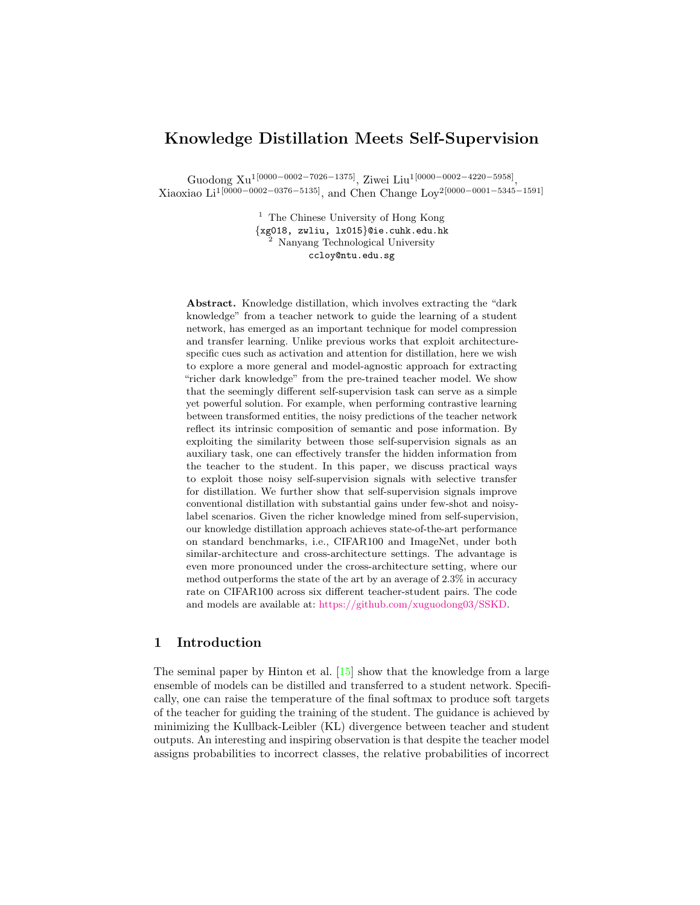# <span id="page-0-0"></span>Knowledge Distillation Meets Self-Supervision

Guodong Xu<sup>1[0000–0002–7026–1375]</sup>, Ziwei Liu<sup>1[0000–0002–4220–5958]</sup>, Xiaoxiao Li1[0000−0002−0376−5135], and Chen Change Loy2[0000−0001−5345−1591]

> $^{\rm 1}$  The Chinese University of Hong Kong {xg018, zwliu, lx015}@ie.cuhk.edu.hk <sup>2</sup> Nanyang Technological University ccloy@ntu.edu.sg

Abstract. Knowledge distillation, which involves extracting the "dark knowledge" from a teacher network to guide the learning of a student network, has emerged as an important technique for model compression and transfer learning. Unlike previous works that exploit architecturespecific cues such as activation and attention for distillation, here we wish to explore a more general and model-agnostic approach for extracting "richer dark knowledge" from the pre-trained teacher model. We show that the seemingly different self-supervision task can serve as a simple yet powerful solution. For example, when performing contrastive learning between transformed entities, the noisy predictions of the teacher network reflect its intrinsic composition of semantic and pose information. By exploiting the similarity between those self-supervision signals as an auxiliary task, one can effectively transfer the hidden information from the teacher to the student. In this paper, we discuss practical ways to exploit those noisy self-supervision signals with selective transfer for distillation. We further show that self-supervision signals improve conventional distillation with substantial gains under few-shot and noisylabel scenarios. Given the richer knowledge mined from self-supervision, our knowledge distillation approach achieves state-of-the-art performance on standard benchmarks, i.e., CIFAR100 and ImageNet, under both similar-architecture and cross-architecture settings. The advantage is even more pronounced under the cross-architecture setting, where our method outperforms the state of the art by an average of 2.3% in accuracy rate on CIFAR100 across six different teacher-student pairs. The code and models are available at: [https://github.com/xuguodong03/SSKD.](https://github.com/xuguodong03/SSKD)

# 1 Introduction

The seminal paper by Hinton et al. [\[15\]](#page-14-0) show that the knowledge from a large ensemble of models can be distilled and transferred to a student network. Specifically, one can raise the temperature of the final softmax to produce soft targets of the teacher for guiding the training of the student. The guidance is achieved by minimizing the Kullback-Leibler (KL) divergence between teacher and student outputs. An interesting and inspiring observation is that despite the teacher model assigns probabilities to incorrect classes, the relative probabilities of incorrect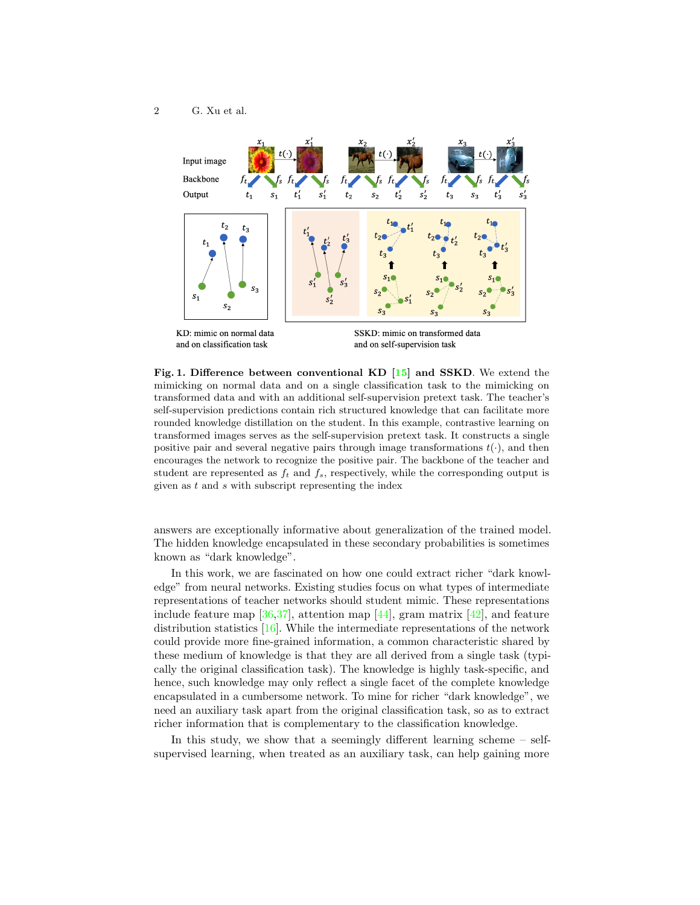### <span id="page-1-1"></span>2 G. Xu et al.



<span id="page-1-0"></span>Fig. 1. Difference between conventional KD [\[15\]](#page-14-0) and SSKD. We extend the mimicking on normal data and on a single classification task to the mimicking on transformed data and with an additional self-supervision pretext task. The teacher's self-supervision predictions contain rich structured knowledge that can facilitate more rounded knowledge distillation on the student. In this example, contrastive learning on transformed images serves as the self-supervision pretext task. It constructs a single positive pair and several negative pairs through image transformations  $t(\cdot)$ , and then encourages the network to recognize the positive pair. The backbone of the teacher and student are represented as  $f_t$  and  $f_s$ , respectively, while the corresponding output is given as  $t$  and  $s$  with subscript representing the index

answers are exceptionally informative about generalization of the trained model. The hidden knowledge encapsulated in these secondary probabilities is sometimes known as "dark knowledge".

In this work, we are fascinated on how one could extract richer "dark knowledge" from neural networks. Existing studies focus on what types of intermediate representations of teacher networks should student mimic. These representations include feature map  $[36,37]$  $[36,37]$ , attention map  $[44]$ , gram matrix  $[42]$ , and feature distribution statistics [\[16\]](#page-14-1). While the intermediate representations of the network could provide more fine-grained information, a common characteristic shared by these medium of knowledge is that they are all derived from a single task (typically the original classification task). The knowledge is highly task-specific, and hence, such knowledge may only reflect a single facet of the complete knowledge encapsulated in a cumbersome network. To mine for richer "dark knowledge", we need an auxiliary task apart from the original classification task, so as to extract richer information that is complementary to the classification knowledge.

In this study, we show that a seemingly different learning scheme – selfsupervised learning, when treated as an auxiliary task, can help gaining more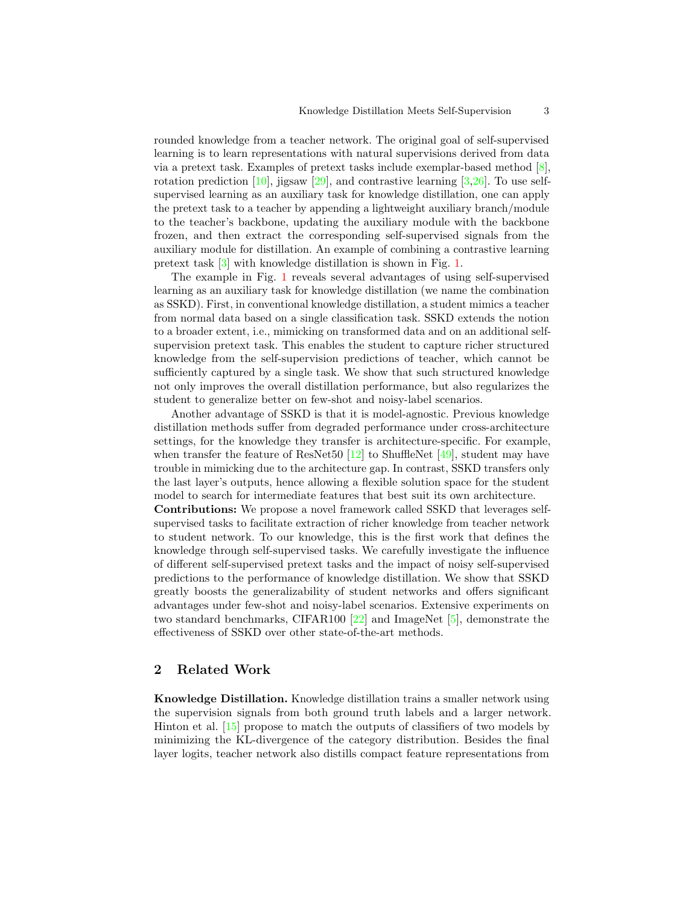<span id="page-2-0"></span>rounded knowledge from a teacher network. The original goal of self-supervised learning is to learn representations with natural supervisions derived from data via a pretext task. Examples of pretext tasks include exemplar-based method [\[8\]](#page-14-2), rotation prediction  $[10]$ , jigsaw  $[29]$ , and contrastive learning  $[3,26]$  $[3,26]$ . To use selfsupervised learning as an auxiliary task for knowledge distillation, one can apply the pretext task to a teacher by appending a lightweight auxiliary branch/module to the teacher's backbone, updating the auxiliary module with the backbone frozen, and then extract the corresponding self-supervised signals from the auxiliary module for distillation. An example of combining a contrastive learning pretext task [\[3\]](#page-14-4) with knowledge distillation is shown in Fig. [1.](#page-1-0)

The example in Fig. [1](#page-1-0) reveals several advantages of using self-supervised learning as an auxiliary task for knowledge distillation (we name the combination as SSKD). First, in conventional knowledge distillation, a student mimics a teacher from normal data based on a single classification task. SSKD extends the notion to a broader extent, i.e., mimicking on transformed data and on an additional selfsupervision pretext task. This enables the student to capture richer structured knowledge from the self-supervision predictions of teacher, which cannot be sufficiently captured by a single task. We show that such structured knowledge not only improves the overall distillation performance, but also regularizes the student to generalize better on few-shot and noisy-label scenarios.

Another advantage of SSKD is that it is model-agnostic. Previous knowledge distillation methods suffer from degraded performance under cross-architecture settings, for the knowledge they transfer is architecture-specific. For example, when transfer the feature of ResNet50  $[12]$  to ShuffleNet  $[49]$ , student may have trouble in mimicking due to the architecture gap. In contrast, SSKD transfers only the last layer's outputs, hence allowing a flexible solution space for the student model to search for intermediate features that best suit its own architecture.

Contributions: We propose a novel framework called SSKD that leverages selfsupervised tasks to facilitate extraction of richer knowledge from teacher network to student network. To our knowledge, this is the first work that defines the knowledge through self-supervised tasks. We carefully investigate the influence of different self-supervised pretext tasks and the impact of noisy self-supervised predictions to the performance of knowledge distillation. We show that SSKD greatly boosts the generalizability of student networks and offers significant advantages under few-shot and noisy-label scenarios. Extensive experiments on two standard benchmarks, CIFAR100 [\[22\]](#page-15-2) and ImageNet [\[5\]](#page-14-6), demonstrate the effectiveness of SSKD over other state-of-the-art methods.

# 2 Related Work

Knowledge Distillation. Knowledge distillation trains a smaller network using the supervision signals from both ground truth labels and a larger network. Hinton et al. [\[15\]](#page-14-0) propose to match the outputs of classifiers of two models by minimizing the KL-divergence of the category distribution. Besides the final layer logits, teacher network also distills compact feature representations from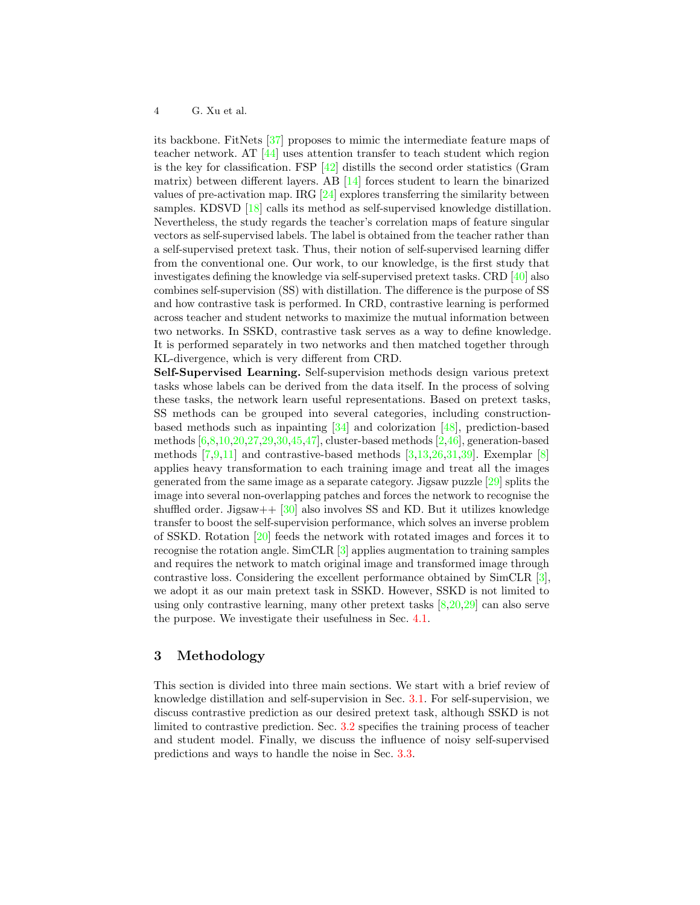<span id="page-3-0"></span>its backbone. FitNets [\[37\]](#page-16-1) proposes to mimic the intermediate feature maps of teacher network. AT [\[44\]](#page-16-2) uses attention transfer to teach student which region is the key for classification. FSP  $[42]$  distills the second order statistics (Gram matrix) between different layers. AB [\[14\]](#page-14-7) forces student to learn the binarized values of pre-activation map. IRG [\[24\]](#page-15-3) explores transferring the similarity between samples. KDSVD [\[18\]](#page-15-4) calls its method as self-supervised knowledge distillation. Nevertheless, the study regards the teacher's correlation maps of feature singular vectors as self-supervised labels. The label is obtained from the teacher rather than a self-supervised pretext task. Thus, their notion of self-supervised learning differ from the conventional one. Our work, to our knowledge, is the first study that investigates defining the knowledge via self-supervised pretext tasks. CRD [\[40\]](#page-16-5) also combines self-supervision (SS) with distillation. The difference is the purpose of SS and how contrastive task is performed. In CRD, contrastive learning is performed across teacher and student networks to maximize the mutual information between two networks. In SSKD, contrastive task serves as a way to define knowledge. It is performed separately in two networks and then matched together through KL-divergence, which is very different from CRD.

Self-Supervised Learning. Self-supervision methods design various pretext tasks whose labels can be derived from the data itself. In the process of solving these tasks, the network learn useful representations. Based on pretext tasks, SS methods can be grouped into several categories, including constructionbased methods such as inpainting [\[34\]](#page-15-5) and colorization [\[48\]](#page-16-6), prediction-based methods [\[6,](#page-14-8)[8](#page-14-2)[,10](#page-14-3)[,20,](#page-15-6)[27,](#page-15-7)[29](#page-15-0)[,30,](#page-15-8)[45,](#page-16-7)[47\]](#page-16-8), cluster-based methods [\[2,](#page-14-9)[46\]](#page-16-9), generation-based methods [\[7](#page-14-10)[,9,](#page-14-11)[11\]](#page-14-12) and contrastive-based methods [\[3](#page-14-4)[,13,](#page-14-13)[26,](#page-15-1)[31](#page-15-9)[,39\]](#page-16-10). Exemplar [\[8\]](#page-14-2) applies heavy transformation to each training image and treat all the images generated from the same image as a separate category. Jigsaw puzzle [\[29\]](#page-15-0) splits the image into several non-overlapping patches and forces the network to recognise the shuffled order. Jigsaw +  $\frac{130}{30}$  also involves SS and KD. But it utilizes knowledge transfer to boost the self-supervision performance, which solves an inverse problem of SSKD. Rotation [\[20\]](#page-15-6) feeds the network with rotated images and forces it to recognise the rotation angle. SimCLR [\[3\]](#page-14-4) applies augmentation to training samples and requires the network to match original image and transformed image through contrastive loss. Considering the excellent performance obtained by SimCLR [\[3\]](#page-14-4), we adopt it as our main pretext task in SSKD. However, SSKD is not limited to using only contrastive learning, many other pretext tasks  $[8,20,29]$  $[8,20,29]$  $[8,20,29]$  can also serve the purpose. We investigate their usefulness in Sec. [4.1.](#page-7-0)

# 3 Methodology

This section is divided into three main sections. We start with a brief review of knowledge distillation and self-supervision in Sec. [3.1.](#page-4-0) For self-supervision, we discuss contrastive prediction as our desired pretext task, although SSKD is not limited to contrastive prediction. Sec. [3.2](#page-5-0) specifies the training process of teacher and student model. Finally, we discuss the influence of noisy self-supervised predictions and ways to handle the noise in Sec. [3.3.](#page-6-0)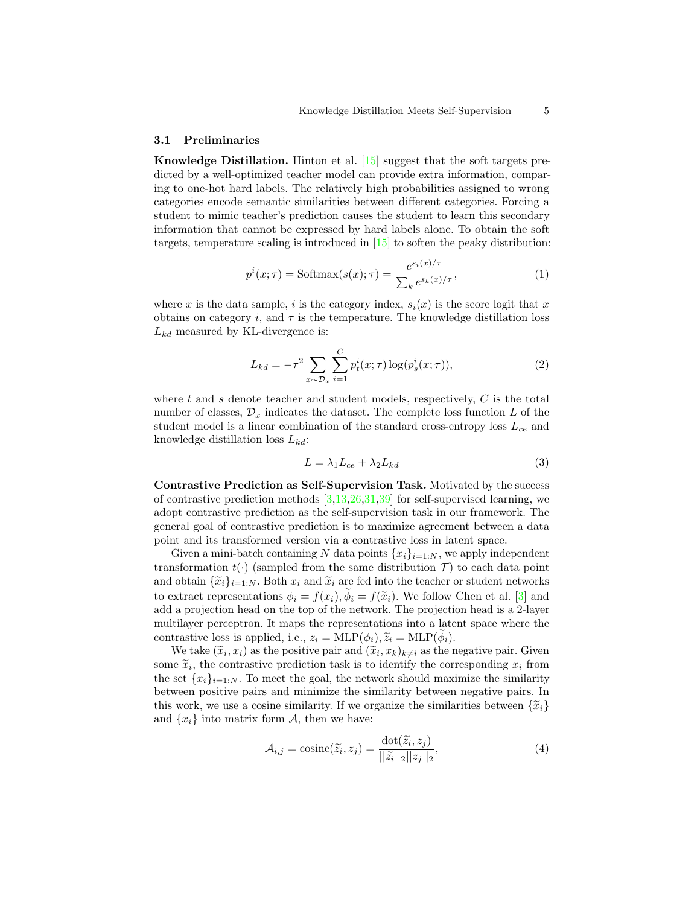#### <span id="page-4-4"></span><span id="page-4-0"></span>3.1 Preliminaries

Knowledge Distillation. Hinton et al. [\[15\]](#page-14-0) suggest that the soft targets predicted by a well-optimized teacher model can provide extra information, comparing to one-hot hard labels. The relatively high probabilities assigned to wrong categories encode semantic similarities between different categories. Forcing a student to mimic teacher's prediction causes the student to learn this secondary information that cannot be expressed by hard labels alone. To obtain the soft targets, temperature scaling is introduced in [\[15\]](#page-14-0) to soften the peaky distribution:

<span id="page-4-1"></span>
$$
p^{i}(x;\tau) = \text{Softmax}(s(x);\tau) = \frac{e^{s_i(x)/\tau}}{\sum_{k} e^{s_k(x)/\tau}},
$$
\n(1)

where x is the data sample, i is the category index,  $s_i(x)$  is the score logit that x obtains on category i, and  $\tau$  is the temperature. The knowledge distillation loss  $L_{kd}$  measured by KL-divergence is:

<span id="page-4-3"></span>
$$
L_{kd} = -\tau^2 \sum_{x \sim \mathcal{D}_x} \sum_{i=1}^C p_t^i(x; \tau) \log(p_s^i(x; \tau)),
$$
\n(2)

where t and s denote teacher and student models, respectively,  $C$  is the total number of classes,  $\mathcal{D}_x$  indicates the dataset. The complete loss function L of the student model is a linear combination of the standard cross-entropy loss  $L_{ce}$  and knowledge distillation loss  $L_{kd}$ :

$$
L = \lambda_1 L_{ce} + \lambda_2 L_{kd} \tag{3}
$$

Contrastive Prediction as Self-Supervision Task. Motivated by the success of contrastive prediction methods  $[3,13,26,31,39]$  $[3,13,26,31,39]$  $[3,13,26,31,39]$  $[3,13,26,31,39]$  $[3,13,26,31,39]$  for self-supervised learning, we adopt contrastive prediction as the self-supervision task in our framework. The general goal of contrastive prediction is to maximize agreement between a data point and its transformed version via a contrastive loss in latent space.

Given a mini-batch containing N data points  ${x_i}_{i=1:N}$ , we apply independent transformation  $t(\cdot)$  (sampled from the same distribution  $\mathcal{T}$ ) to each data point and obtain  $\{\widetilde{x}_i\}_{i=1:N}$ . Both  $x_i$  and  $\widetilde{x}_i$  are fed into the teacher or student networks to extract representations  $\phi_i = f(x_i), \phi_i = f(\tilde{x}_i)$ . We follow Chen et al. [\[3\]](#page-14-4) and add a projection head on the top of the network. The projection head is a 2-layer multilayer perceptron. It maps the representations into a latent space where the contrastive loss is applied, i.e.,  $z_i = \text{MLP}(\phi_i), \tilde{z}_i = \text{MLP}(\phi_i)$ .

We take  $(\tilde{x}_i, x_i)$  as the positive pair and  $(\tilde{x}_i, x_k)_{k \neq i}$  as the negative pair. Given  $\tilde{x}_i$ , the contractive production task is to identify the corresponding  $x_i$  from some  $\tilde{x}_i$ , the contrastive prediction task is to identify the corresponding  $x_i$  from<br>the set  $\{x_i\}_{i \in \mathbb{N}}$ . To meet the seal, the network should maximize the similarity the set  $\{x_i\}_{i=1:N}$ . To meet the goal, the network should maximize the similarity between positive pairs and minimize the similarity between negative pairs. In this work, we use a cosine similarity. If we organize the similarities between  $\{\tilde{x}_i\}$ and  $\{x_i\}$  into matrix form A, then we have:

<span id="page-4-2"></span>
$$
\mathcal{A}_{i,j} = \text{cosine}(\widetilde{z}_i, z_j) = \frac{\text{dot}(\widetilde{z}_i, z_j)}{||\widetilde{z}_i||_2||z_j||_2},\tag{4}
$$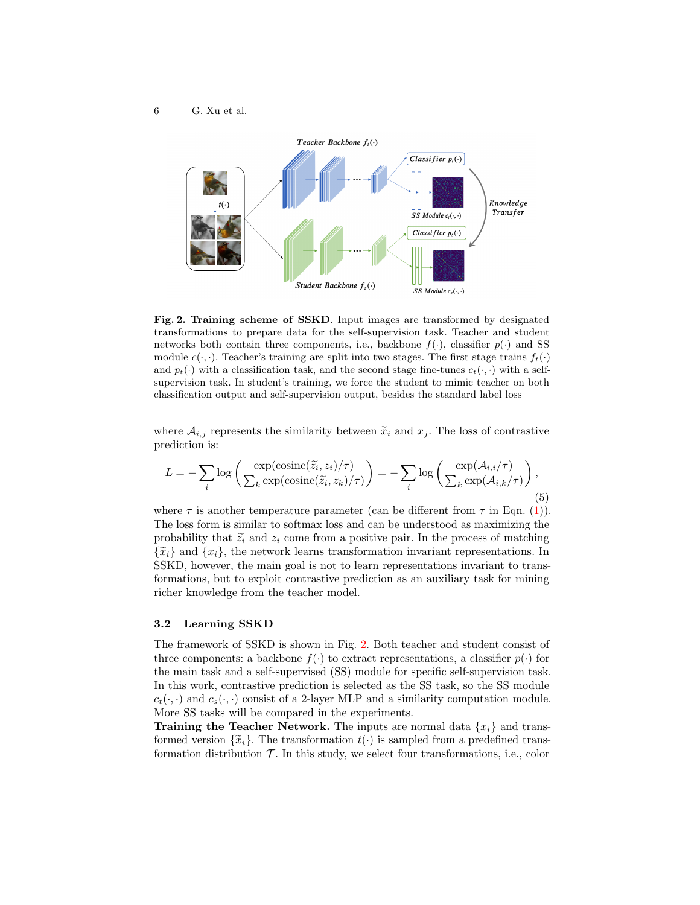

<span id="page-5-1"></span>Fig. 2. Training scheme of SSKD. Input images are transformed by designated transformations to prepare data for the self-supervision task. Teacher and student networks both contain three components, i.e., backbone  $f(\cdot)$ , classifier  $p(\cdot)$  and SS module  $c(\cdot, \cdot)$ . Teacher's training are split into two stages. The first stage trains  $f_t(\cdot)$ and  $p_t(\cdot)$  with a classification task, and the second stage fine-tunes  $c_t(\cdot, \cdot)$  with a selfsupervision task. In student's training, we force the student to mimic teacher on both classification output and self-supervision output, besides the standard label loss

where  $A_{i,j}$  represents the similarity between  $\tilde{x}_i$  and  $x_j$ . The loss of contrastive prediction is:

<span id="page-5-2"></span>
$$
L = -\sum_{i} \log \left( \frac{\exp(\text{cosine}(\tilde{z}_i, z_i)/\tau)}{\sum_{k} \exp(\text{cosine}(\tilde{z}_i, z_k)/\tau)} \right) = -\sum_{i} \log \left( \frac{\exp(\mathcal{A}_{i,i}/\tau)}{\sum_{k} \exp(\mathcal{A}_{i,k}/\tau)} \right),\tag{5}
$$

where  $\tau$  is another temperature parameter (can be different from  $\tau$  in Eqn. [\(1\)](#page-4-1)). The loss form is similar to softmax loss and can be understood as maximizing the probability that  $\tilde{z}_i$  and  $z_i$  come from a positive pair. In the process of matching  $\{\tilde{x}_i\}$  and  $\{x_i\}$ , the network learns transformation invariant representations. In SSKD, however, the main goal is not to learn representations invariant to transformations, but to exploit contrastive prediction as an auxiliary task for mining richer knowledge from the teacher model.

### <span id="page-5-0"></span>3.2 Learning SSKD

The framework of SSKD is shown in Fig. [2.](#page-5-1) Both teacher and student consist of three components: a backbone  $f(\cdot)$  to extract representations, a classifier  $p(\cdot)$  for the main task and a self-supervised (SS) module for specific self-supervision task. In this work, contrastive prediction is selected as the SS task, so the SS module  $c_t(\cdot, \cdot)$  and  $c_s(\cdot, \cdot)$  consist of a 2-layer MLP and a similarity computation module. More SS tasks will be compared in the experiments.

**Training the Teacher Network.** The inputs are normal data  $\{x_i\}$  and transformed version  $\{\tilde{x}_i\}$ . The transformation  $t(\cdot)$  is sampled from a predefined transformation distribution  $\mathcal T$ . In this study, we select four transformations, i.e., color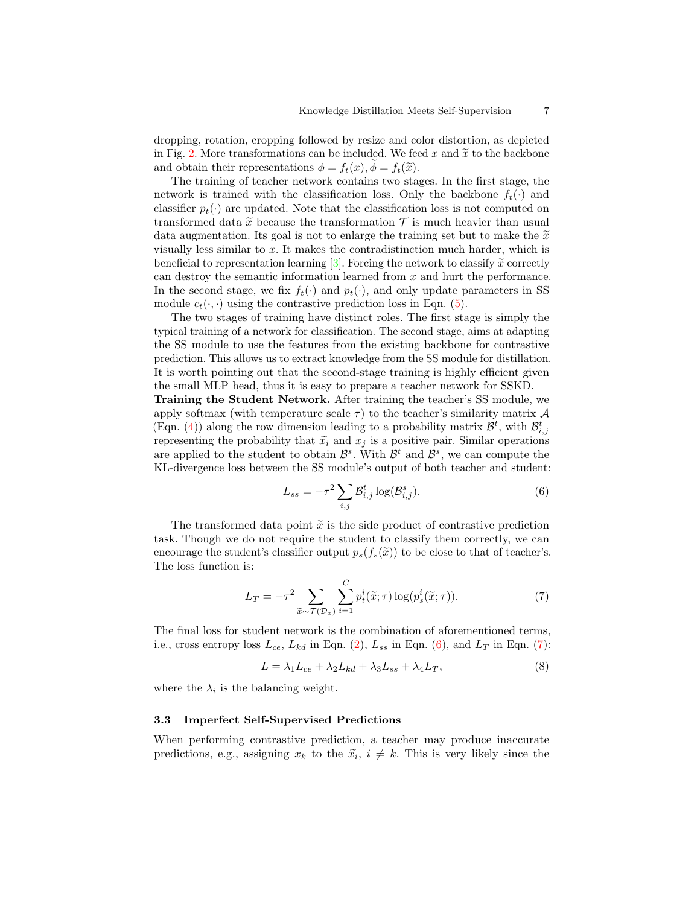<span id="page-6-4"></span>dropping, rotation, cropping followed by resize and color distortion, as depicted in Fig. [2.](#page-5-1) More transformations can be included. We feed x and  $\tilde{x}$  to the backbone and obtain their representations  $\phi = f_t(x), \phi = f_t(\tilde{x})$ .

The training of teacher network contains two stages. In the first stage, the network is trained with the classification loss. Only the backbone  $f_t(\cdot)$  and classifier  $p_t(\cdot)$  are updated. Note that the classification loss is not computed on transformed data  $\tilde{x}$  because the transformation  $\mathcal T$  is much heavier than usual data augmentation. Its goal is not to enlarge the training set but to make the  $\tilde{x}$ visually less similar to  $x$ . It makes the contradistinction much harder, which is beneficial to representation learning  $[3]$ . Forcing the network to classify  $\tilde{x}$  correctly can destroy the semantic information learned from x and hurt the performance. In the second stage, we fix  $f_t(\cdot)$  and  $p_t(\cdot)$ , and only update parameters in SS module  $c_t(\cdot, \cdot)$  using the contrastive prediction loss in Eqn. [\(5\)](#page-5-2).

The two stages of training have distinct roles. The first stage is simply the typical training of a network for classification. The second stage, aims at adapting the SS module to use the features from the existing backbone for contrastive prediction. This allows us to extract knowledge from the SS module for distillation. It is worth pointing out that the second-stage training is highly efficient given the small MLP head, thus it is easy to prepare a teacher network for SSKD.

Training the Student Network. After training the teacher's SS module, we apply softmax (with temperature scale  $\tau$ ) to the teacher's similarity matrix  $\mathcal A$ (Eqn. [\(4\)](#page-4-2)) along the row dimension leading to a probability matrix  $\mathcal{B}^t$ , with  $\mathcal{B}_{i,j}^t$ representing the probability that  $\tilde{x}_i$  and  $x_j$  is a positive pair. Similar operations are applied to the student to obtain  $\mathcal{B}^s$ . With  $\mathcal{B}^t$  and  $\mathcal{B}^s$ , we can compute the KL-divergence loss between the SS module's output of both teacher and student:

<span id="page-6-1"></span>
$$
L_{ss} = -\tau^2 \sum_{i,j} \mathcal{B}_{i,j}^t \log(\mathcal{B}_{i,j}^s). \tag{6}
$$

The transformed data point  $\tilde{x}$  is the side product of contrastive prediction task. Though we do not require the student to classify them correctly, we can encourage the student's classifier output  $p_s(f_s(\tilde{x}))$  to be close to that of teacher's. The loss function is:

<span id="page-6-2"></span>
$$
L_T = -\tau^2 \sum_{\widetilde{x}\sim\mathcal{T}(\mathcal{D}_x)} \sum_{i=1}^C p_t^i(\widetilde{x};\tau) \log(p_s^i(\widetilde{x};\tau)).
$$
\n(7)

The final loss for student network is the combination of aforementioned terms, i.e., cross entropy loss  $L_{ce}$ ,  $L_{kd}$  in Eqn. [\(2\)](#page-4-3),  $L_{ss}$  in Eqn. [\(6\)](#page-6-1), and  $L_T$  in Eqn. [\(7\)](#page-6-2):

<span id="page-6-3"></span>
$$
L = \lambda_1 L_{ce} + \lambda_2 L_{kd} + \lambda_3 L_{ss} + \lambda_4 L_T,
$$
\n<sup>(8)</sup>

where the  $\lambda_i$  is the balancing weight.

### <span id="page-6-0"></span>3.3 Imperfect Self-Supervised Predictions

When performing contrastive prediction, a teacher may produce inaccurate predictions, e.g., assigning  $x_k$  to the  $\tilde{x}_i$ ,  $i \neq k$ . This is very likely since the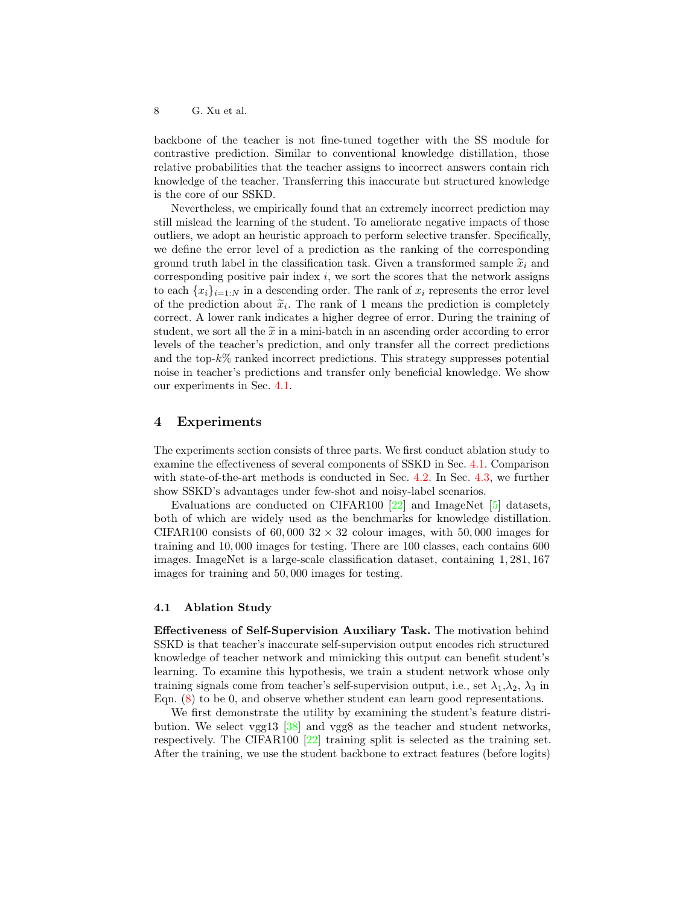<span id="page-7-1"></span>backbone of the teacher is not fine-tuned together with the SS module for contrastive prediction. Similar to conventional knowledge distillation, those relative probabilities that the teacher assigns to incorrect answers contain rich knowledge of the teacher. Transferring this inaccurate but structured knowledge is the core of our SSKD.

Nevertheless, we empirically found that an extremely incorrect prediction may still mislead the learning of the student. To ameliorate negative impacts of those outliers, we adopt an heuristic approach to perform selective transfer. Specifically, we define the error level of a prediction as the ranking of the corresponding ground truth label in the classification task. Given a transformed sample  $\tilde{x}_i$  and corresponding positive pair index  $i$ , we sort the scores that the network assigns to each  $\{x_i\}_{i=1:N}$  in a descending order. The rank of  $x_i$  represents the error level of the prediction about  $\tilde{x}_i$ . The rank of 1 means the prediction is completely<br>correct. A lower rank indicator a higher degree of error. During the training of correct. A lower rank indicates a higher degree of error. During the training of student, we sort all the  $\tilde{x}$  in a mini-batch in an ascending order according to error levels of the teacher's prediction, and only transfer all the correct predictions and the top- $k\%$  ranked incorrect predictions. This strategy suppresses potential noise in teacher's predictions and transfer only beneficial knowledge. We show our experiments in Sec. [4.1.](#page-7-0)

### 4 Experiments

The experiments section consists of three parts. We first conduct ablation study to examine the effectiveness of several components of SSKD in Sec. [4.1.](#page-7-0) Comparison with state-of-the-art methods is conducted in Sec. [4.2.](#page-9-0) In Sec. [4.3,](#page-12-0) we further show SSKD's advantages under few-shot and noisy-label scenarios.

Evaluations are conducted on CIFAR100 [\[22\]](#page-15-2) and ImageNet [\[5\]](#page-14-6) datasets, both of which are widely used as the benchmarks for knowledge distillation. CIFAR100 consists of 60,000  $32 \times 32$  colour images, with 50,000 images for training and 10, 000 images for testing. There are 100 classes, each contains 600 images. ImageNet is a large-scale classification dataset, containing 1, 281, 167 images for training and 50, 000 images for testing.

### <span id="page-7-0"></span>4.1 Ablation Study

Effectiveness of Self-Supervision Auxiliary Task. The motivation behind SSKD is that teacher's inaccurate self-supervision output encodes rich structured knowledge of teacher network and mimicking this output can benefit student's learning. To examine this hypothesis, we train a student network whose only training signals come from teacher's self-supervision output, i.e., set  $\lambda_1, \lambda_2, \lambda_3$  in Eqn. [\(8\)](#page-6-3) to be 0, and observe whether student can learn good representations.

We first demonstrate the utility by examining the student's feature distribution. We select vgg13 [\[38\]](#page-16-11) and vgg8 as the teacher and student networks, respectively. The CIFAR100 [\[22\]](#page-15-2) training split is selected as the training set. After the training, we use the student backbone to extract features (before logits)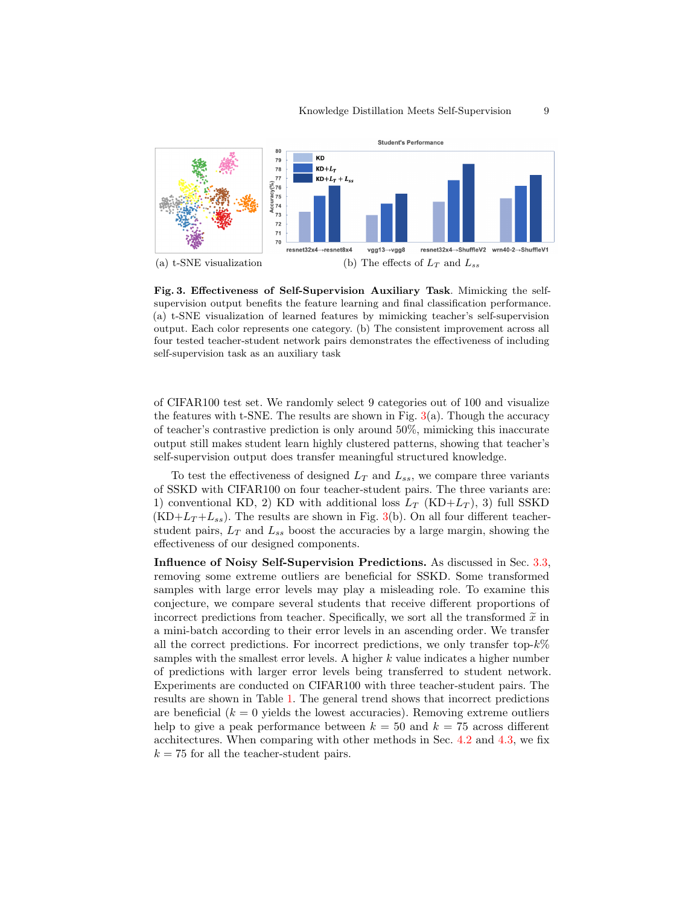

<span id="page-8-0"></span>Fig. 3. Effectiveness of Self-Supervision Auxiliary Task. Mimicking the selfsupervision output benefits the feature learning and final classification performance. (a) t-SNE visualization of learned features by mimicking teacher's self-supervision output. Each color represents one category. (b) The consistent improvement across all four tested teacher-student network pairs demonstrates the effectiveness of including self-supervision task as an auxiliary task

of CIFAR100 test set. We randomly select 9 categories out of 100 and visualize the features with t-SNE. The results are shown in Fig.  $3(a)$  $3(a)$ . Though the accuracy of teacher's contrastive prediction is only around 50%, mimicking this inaccurate output still makes student learn highly clustered patterns, showing that teacher's self-supervision output does transfer meaningful structured knowledge.

To test the effectiveness of designed  $L_T$  and  $L_{ss}$ , we compare three variants of SSKD with CIFAR100 on four teacher-student pairs. The three variants are: 1) conventional KD, 2) KD with additional loss  $L_T$  (KD+ $L_T$ ), 3) full SSKD  $(KD+L_T+L_{ss})$ . The results are shown in Fig. [3\(](#page-8-0)b). On all four different teacherstudent pairs,  $L_T$  and  $L_{ss}$  boost the accuracies by a large margin, showing the effectiveness of our designed components.

Influence of Noisy Self-Supervision Predictions. As discussed in Sec. [3.3,](#page-6-0) removing some extreme outliers are beneficial for SSKD. Some transformed samples with large error levels may play a misleading role. To examine this conjecture, we compare several students that receive different proportions of incorrect predictions from teacher. Specifically, we sort all the transformed  $\widetilde{x}$  in a mini-batch according to their error levels in an ascending order. We transfer all the correct predictions. For incorrect predictions, we only transfer top- $k\%$ samples with the smallest error levels. A higher  $k$  value indicates a higher number of predictions with larger error levels being transferred to student network. Experiments are conducted on CIFAR100 with three teacher-student pairs. The results are shown in Table [1.](#page-9-1) The general trend shows that incorrect predictions are beneficial  $(k = 0$  yields the lowest accuracies). Removing extreme outliers help to give a peak performance between  $k = 50$  and  $k = 75$  across different acchitectures. When comparing with other methods in Sec. [4.2](#page-9-0) and [4.3,](#page-12-0) we fix  $k = 75$  for all the teacher-student pairs.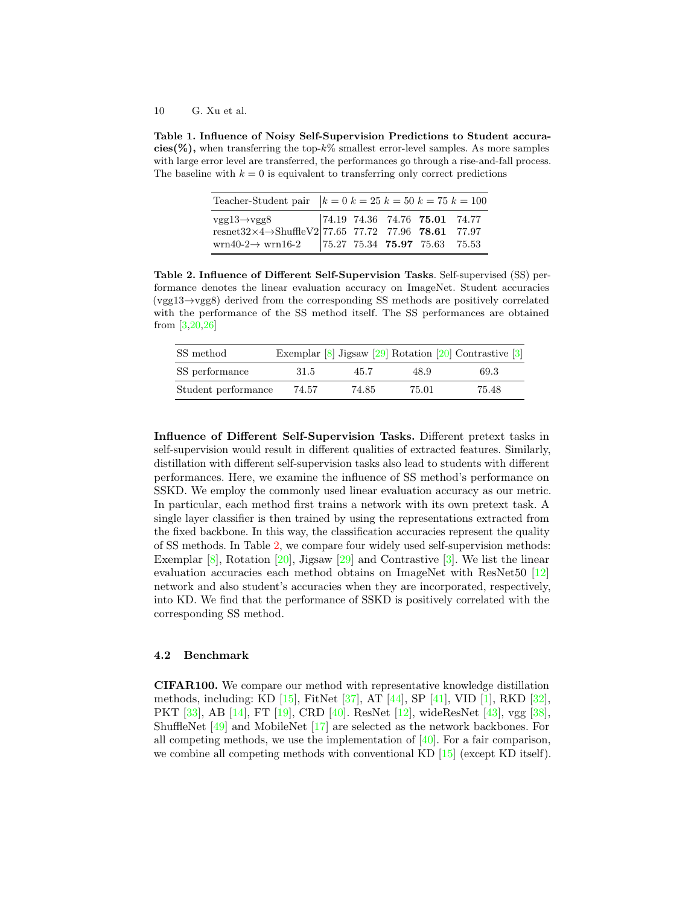### <span id="page-9-3"></span>10 G. Xu et al.

<span id="page-9-1"></span>Table 1. Influence of Noisy Self-Supervision Predictions to Student accura- $\text{cies}(\%)$ , when transferring the top- $k\%$  smallest error-level samples. As more samples with large error level are transferred, the performances go through a rise-and-fall process. The baseline with  $k = 0$  is equivalent to transferring only correct predictions

| Teacher-Student pair $k = 0$ $k = 25$ $k = 50$ $k = 75$ $k = 100$                                                                                                                                                                                                                                                                                                                                             |  |  |  |
|---------------------------------------------------------------------------------------------------------------------------------------------------------------------------------------------------------------------------------------------------------------------------------------------------------------------------------------------------------------------------------------------------------------|--|--|--|
| $\begin{array}{c cccccc} \text{vgg13} \!\rightarrow\!\! \text{vgg8} & & \!\! \text{74.19} & \!\! \text{74.36} & \!\! \text{74.76} & \!\! \textbf{75.01} & \!\! \text{74.77} \\ \text{resnet32} \!\times\!\! \text{4} \!\rightarrow\!\! \text{ShuffleV2} & & \!\! \text{77.65} & \!\! \text{77.72} & \!\! \text{77.96} & \!\! \textbf{78.61} & \!\! \text{77.97} \\ \text{wrn40-2} \!\rightarrow\!\! \text{wr$ |  |  |  |
|                                                                                                                                                                                                                                                                                                                                                                                                               |  |  |  |

<span id="page-9-2"></span>Table 2. Influence of Different Self-Supervision Tasks. Self-supervised (SS) performance denotes the linear evaluation accuracy on ImageNet. Student accuracies (vgg13→vgg8) derived from the corresponding SS methods are positively correlated with the performance of the SS method itself. The SS performances are obtained from [\[3,](#page-14-4)[20](#page-15-6)[,26\]](#page-15-1)

| SS method           |       |       |       | Exemplar $[8]$ Jigsaw $[29]$ Rotation $[20]$ Contrastive $[3]$ |
|---------------------|-------|-------|-------|----------------------------------------------------------------|
| SS performance      | 31.5  | 45.7  | 48.9  | 69.3                                                           |
| Student performance | 74.57 | 74.85 | 75.01 | 75.48                                                          |

Influence of Different Self-Supervision Tasks. Different pretext tasks in self-supervision would result in different qualities of extracted features. Similarly, distillation with different self-supervision tasks also lead to students with different performances. Here, we examine the influence of SS method's performance on SSKD. We employ the commonly used linear evaluation accuracy as our metric. In particular, each method first trains a network with its own pretext task. A single layer classifier is then trained by using the representations extracted from the fixed backbone. In this way, the classification accuracies represent the quality of SS methods. In Table [2,](#page-9-2) we compare four widely used self-supervision methods: Exemplar  $[8]$ , Rotation  $[20]$ , Jigsaw  $[29]$  and Contrastive  $[3]$ . We list the linear evaluation accuracies each method obtains on ImageNet with ResNet50 [\[12\]](#page-14-5) network and also student's accuracies when they are incorporated, respectively, into KD. We find that the performance of SSKD is positively correlated with the corresponding SS method.

### <span id="page-9-0"></span>4.2 Benchmark

CIFAR100. We compare our method with representative knowledge distillation methods, including: KD [\[15\]](#page-14-0), FitNet [\[37\]](#page-16-1), AT [\[44\]](#page-16-2), SP [\[41\]](#page-16-12), VID [\[1\]](#page-14-14), RKD [\[32\]](#page-15-10), PKT [\[33\]](#page-15-11), AB [\[14\]](#page-14-7), FT [\[19\]](#page-15-12), CRD [\[40\]](#page-16-5). ResNet [\[12\]](#page-14-5), wideResNet [\[43\]](#page-16-13), vgg [\[38\]](#page-16-11), ShuffleNet [\[49\]](#page-16-4) and MobileNet [\[17\]](#page-15-13) are selected as the network backbones. For all competing methods, we use the implementation of [\[40\]](#page-16-5). For a fair comparison, we combine all competing methods with conventional KD [\[15\]](#page-14-0) (except KD itself).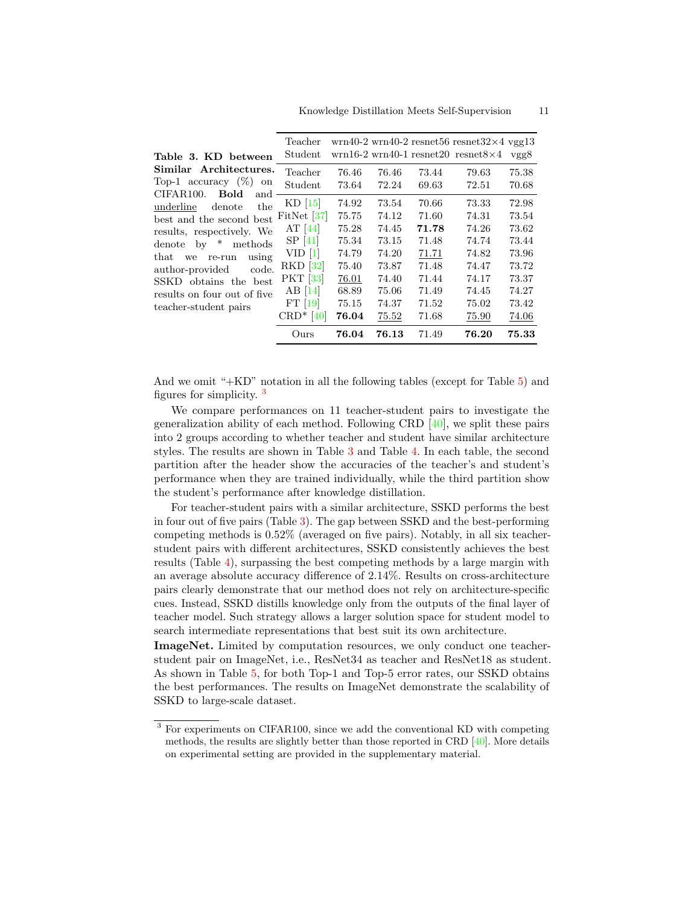<span id="page-10-2"></span><span id="page-10-1"></span>

|                                                    | Ours                     | 76.04 | 76.13 | 71.49 | 76.20                                                                            | 75.33 |
|----------------------------------------------------|--------------------------|-------|-------|-------|----------------------------------------------------------------------------------|-------|
|                                                    | $CRD*$ [40]              | 76.04 | 75.52 | 71.68 | 75.90                                                                            | 74.06 |
| teacher-student pairs                              | $FT$ [19]                | 75.15 | 74.37 | 71.52 | 75.02                                                                            | 73.42 |
| results on four out of five                        | $AB$ [14]                | 68.89 | 75.06 | 71.49 | 74.45                                                                            | 74.27 |
| SSKD obtains the best                              | PKT [33]                 | 76.01 | 74.40 | 71.44 | 74.17                                                                            | 73.37 |
| author-provided<br>code.                           | <b>RKD</b> [32]          | 75.40 | 73.87 | 71.48 | 74.47                                                                            | 73.72 |
| that we<br>using<br>re-run                         | VID <sub>1</sub>         | 74.79 | 74.20 | 71.71 | 74.82                                                                            | 73.96 |
| denote by $*$<br>methods                           | SP[41]                   | 75.34 | 73.15 | 71.48 | 74.74                                                                            | 73.44 |
| results, respectively. We                          | AT $[44]$                | 75.28 | 74.45 | 71.78 | 74.26                                                                            | 73.62 |
| best and the second best                           | FitNet $ 37 $            | 75.75 | 74.12 | 71.60 | 74.31                                                                            | 73.54 |
| underline<br>the<br>denote                         | $KD$ [15]                | 74.92 | 73.54 | 70.66 | 73.33                                                                            | 72.98 |
| CIFAR100.<br>Bold<br>and                           | Student                  | 73.64 | 72.24 | 69.63 | 72.51                                                                            | 70.68 |
| Similar Architectures.<br>Top-1 accuracy $(\%)$ on | Teacher                  | 76.46 | 76.46 | 73.44 | 79.63                                                                            | 75.38 |
| Table 3. KD between                                | $\operatorname{Student}$ |       |       |       | $\text{wrn16-2 wrn40-1}$ resnet 20 resnet $8\times4$                             | vgg8  |
|                                                    | Teacher                  |       |       |       | $\text{wrn}40-2 \text{wrn}40-2 \text{resn}66 \text{resn}632\times4 \text{vg}613$ |       |

And we omit "+KD" notation in all the following tables (except for Table [5\)](#page-11-0) and figures for simplicity. [3](#page-10-0)

We compare performances on 11 teacher-student pairs to investigate the generalization ability of each method. Following CRD [\[40\]](#page-16-5), we split these pairs into 2 groups according to whether teacher and student have similar architecture styles. The results are shown in Table [3](#page-10-1) and Table [4.](#page-11-1) In each table, the second partition after the header show the accuracies of the teacher's and student's performance when they are trained individually, while the third partition show the student's performance after knowledge distillation.

For teacher-student pairs with a similar architecture, SSKD performs the best in four out of five pairs (Table [3\)](#page-10-1). The gap between SSKD and the best-performing competing methods is 0.52% (averaged on five pairs). Notably, in all six teacherstudent pairs with different architectures, SSKD consistently achieves the best results (Table [4\)](#page-11-1), surpassing the best competing methods by a large margin with an average absolute accuracy difference of 2.14%. Results on cross-architecture pairs clearly demonstrate that our method does not rely on architecture-specific cues. Instead, SSKD distills knowledge only from the outputs of the final layer of teacher model. Such strategy allows a larger solution space for student model to search intermediate representations that best suit its own architecture.

ImageNet. Limited by computation resources, we only conduct one teacherstudent pair on ImageNet, i.e., ResNet34 as teacher and ResNet18 as student. As shown in Table [5,](#page-11-0) for both Top-1 and Top-5 error rates, our SSKD obtains the best performances. The results on ImageNet demonstrate the scalability of SSKD to large-scale dataset.

<span id="page-10-0"></span><sup>3</sup> For experiments on CIFAR100, since we add the conventional KD with competing methods, the results are slightly better than those reported in CRD  $[40]$ . More details on experimental setting are provided in the supplementary material.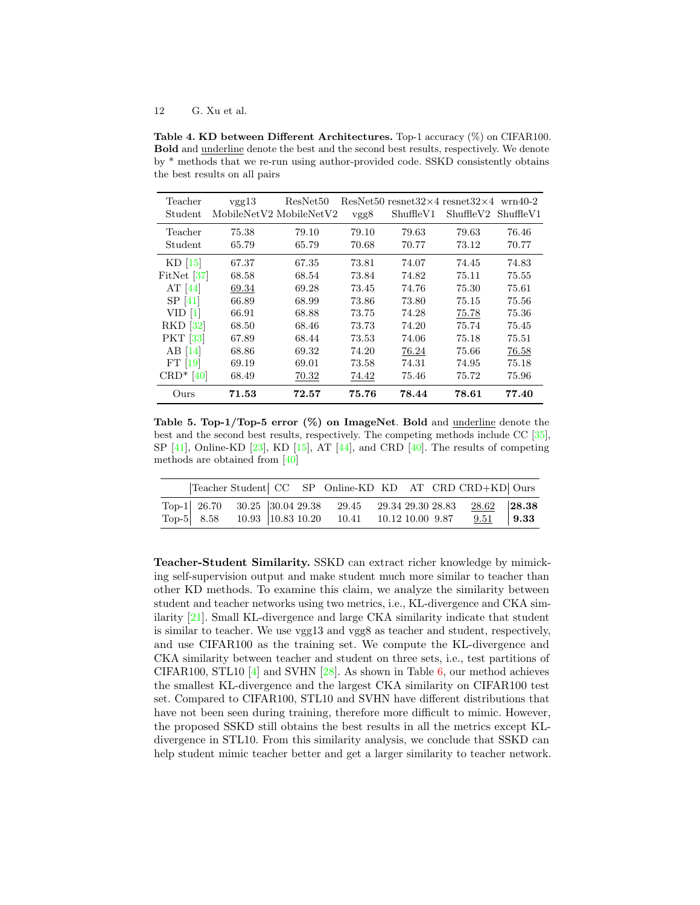### <span id="page-11-2"></span>12 G. Xu et al.

<span id="page-11-1"></span>Table 4. KD between Different Architectures. Top-1 accuracy (%) on CIFAR100. Bold and underline denote the best and the second best results, respectively. We denote by \* methods that we re-run using author-provided code. SSKD consistently obtains the best results on all pairs

| Teacher<br>Student | vgg13<br>MobileNetV2 MobileNetV2 | ResNet50       | vgg8           | ResNet50 resnet32 $\times$ 4 resnet32 $\times$ 4 wrn40-2<br>ShuffleV1 | ShuffleV2 ShuffleV1 |                |
|--------------------|----------------------------------|----------------|----------------|-----------------------------------------------------------------------|---------------------|----------------|
| Teacher<br>Student | 75.38<br>65.79                   | 79.10<br>65.79 | 79.10<br>70.68 | 79.63<br>70.77                                                        | 79.63<br>73.12      | 76.46<br>70.77 |
| $KD$ [15]          | 67.37                            | 67.35          | 73.81          | 74.07                                                                 | 74.45               | 74.83          |
| FitNet $ 37 $      | 68.58                            | 68.54          | 73.84          | 74.82                                                                 | 75.11               | 75.55          |
| AT $[44]$          | 69.34                            | 69.28          | 73.45          | 74.76                                                                 | 75.30               | 75.61          |
| SP <sub>[41]</sub> | 66.89                            | 68.99          | 73.86          | 73.80                                                                 | 75.15               | 75.56          |
| VID <sub>1</sub>   | 66.91                            | 68.88          | 73.75          | 74.28                                                                 | 75.78               | 75.36          |
| $RKD$ [32]         | 68.50                            | 68.46          | 73.73          | 74.20                                                                 | 75.74               | 75.45          |
| <b>PKT</b> [33]    | 67.89                            | 68.44          | 73.53          | 74.06                                                                 | 75.18               | 75.51          |
| $AB$ [14]          | 68.86                            | 69.32          | 74.20          | 76.24                                                                 | 75.66               | 76.58          |
| $FT$ [19]          | 69.19                            | 69.01          | 73.58          | 74.31                                                                 | 74.95               | 75.18          |
| $CRD*$ [40]        | 68.49                            | 70.32          | 74.42          | 75.46                                                                 | 75.72               | 75.96          |
| Ours               | 71.53                            | 72.57          | 75.76          | 78.44                                                                 | 78.61               | 77.40          |

<span id="page-11-0"></span>Table 5. Top-1/Top-5 error (%) on ImageNet. Bold and underline denote the best and the second best results, respectively. The competing methods include CC [\[35\]](#page-15-14), SP  $[41]$ , Online-KD  $[23]$ , KD  $[15]$ , AT  $[44]$ , and CRD  $[40]$ . The results of competing methods are obtained from [\[40\]](#page-16-5)

|  |  | Teacher Student  CC SP Online-KD KD AT CRD CRD+KD  Ours           |  |             |  |
|--|--|-------------------------------------------------------------------|--|-------------|--|
|  |  | Top-1 26.70 30.25 30.04 29.38 29.45 29.34 29.30 28.83 28.62 28.38 |  |             |  |
|  |  | Top-5 8.58 10.93 10.83 10.20 10.41 10.12 10.00 9.87               |  | $9.51$ 9.33 |  |

Teacher-Student Similarity. SSKD can extract richer knowledge by mimicking self-supervision output and make student much more similar to teacher than other KD methods. To examine this claim, we analyze the similarity between student and teacher networks using two metrics, i.e., KL-divergence and CKA similarity [\[21\]](#page-15-16). Small KL-divergence and large CKA similarity indicate that student is similar to teacher. We use vgg13 and vgg8 as teacher and student, respectively, and use CIFAR100 as the training set. We compute the KL-divergence and CKA similarity between teacher and student on three sets, i.e., test partitions of CIFAR100, STL10 [\[4\]](#page-14-15) and SVHN  $[28]$ . As shown in Table [6,](#page-12-1) our method achieves the smallest KL-divergence and the largest CKA similarity on CIFAR100 test set. Compared to CIFAR100, STL10 and SVHN have different distributions that have not been seen during training, therefore more difficult to mimic. However, the proposed SSKD still obtains the best results in all the metrics except KLdivergence in STL10. From this similarity analysis, we conclude that SSKD can help student mimic teacher better and get a larger similarity to teacher network.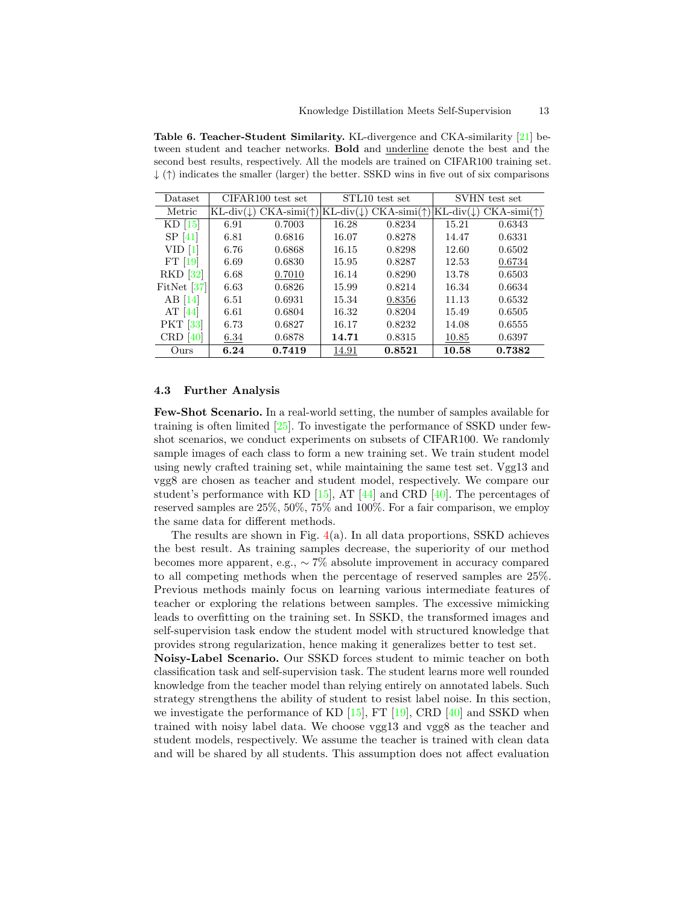<span id="page-12-2"></span><span id="page-12-1"></span>Table 6. Teacher-Student Similarity. KL-divergence and CKA-similarity [\[21\]](#page-15-16) between student and teacher networks. Bold and underline denote the best and the second best results, respectively. All the models are trained on CIFAR100 training set.  $\downarrow$  ( $\uparrow$ ) indicates the smaller (larger) the better. SSKD wins in five out of six comparisons

| Dataset          | CIFAR100 test set |                                                    |                             | STL10 test set              | SVHN test set |                                         |  |
|------------------|-------------------|----------------------------------------------------|-----------------------------|-----------------------------|---------------|-----------------------------------------|--|
| Metric           |                   | $KL\text{-div}(\downarrow)$ CKA-simi( $\uparrow$ ) | $KL\text{-div}(\downarrow)$ | $CKA\text{-simi}(\uparrow)$ |               | $KL\text{-div}(\downarrow)$ CKA-simi(†) |  |
| $KD$ [15]        | 6.91              | 0.7003                                             | 16.28                       | 0.8234                      | 15.21         | 0.6343                                  |  |
| SP[41]           | 6.81              | 0.6816                                             | 16.07                       | 0.8278                      | 14.47         | 0.6331                                  |  |
| VID <sub>1</sub> | 6.76              | 0.6868                                             | 16.15                       | 0.8298                      | 12.60         | 0.6502                                  |  |
| $FT$ [19]        | 6.69              | 0.6830                                             | 15.95                       | 0.8287                      | 12.53         | 0.6734                                  |  |
| RKD [32]         | 6.68              | 0.7010                                             | 16.14                       | 0.8290                      | 13.78         | 0.6503                                  |  |
| FitNet $[37]$    | 6.63              | 0.6826                                             | 15.99                       | 0.8214                      | 16.34         | 0.6634                                  |  |
| $AB$ [14]        | 6.51              | 0.6931                                             | 15.34                       | 0.8356                      | 11.13         | 0.6532                                  |  |
| AT $[44]$        | 6.61              | 0.6804                                             | 16.32                       | 0.8204                      | 15.49         | 0.6505                                  |  |
| <b>PKT</b> [33]  | 6.73              | 0.6827                                             | 16.17                       | 0.8232                      | 14.08         | 0.6555                                  |  |
| $CRD$ [40]       | 6.34              | 0.6878                                             | 14.71                       | 0.8315                      | 10.85         | 0.6397                                  |  |
| Ours             | 6.24              | 0.7419                                             | 14.91                       | 0.8521                      | 10.58         | 0.7382                                  |  |

### <span id="page-12-0"></span>4.3 Further Analysis

Few-Shot Scenario. In a real-world setting, the number of samples available for training is often limited [\[25\]](#page-15-18). To investigate the performance of SSKD under fewshot scenarios, we conduct experiments on subsets of CIFAR100. We randomly sample images of each class to form a new training set. We train student model using newly crafted training set, while maintaining the same test set. Vgg13 and vgg8 are chosen as teacher and student model, respectively. We compare our student's performance with KD  $[15]$ , AT  $[44]$  and CRD  $[40]$ . The percentages of reserved samples are 25%, 50%, 75% and 100%. For a fair comparison, we employ the same data for different methods.

The results are shown in Fig. [4\(](#page-13-0)a). In all data proportions, SSKD achieves the best result. As training samples decrease, the superiority of our method becomes more apparent, e.g., ∼ 7% absolute improvement in accuracy compared to all competing methods when the percentage of reserved samples are 25%. Previous methods mainly focus on learning various intermediate features of teacher or exploring the relations between samples. The excessive mimicking leads to overfitting on the training set. In SSKD, the transformed images and self-supervision task endow the student model with structured knowledge that provides strong regularization, hence making it generalizes better to test set.

Noisy-Label Scenario. Our SSKD forces student to mimic teacher on both classification task and self-supervision task. The student learns more well rounded knowledge from the teacher model than relying entirely on annotated labels. Such strategy strengthens the ability of student to resist label noise. In this section, we investigate the performance of KD  $[15]$ , FT  $[19]$ , CRD  $[40]$  and SSKD when trained with noisy label data. We choose vgg13 and vgg8 as the teacher and student models, respectively. We assume the teacher is trained with clean data and will be shared by all students. This assumption does not affect evaluation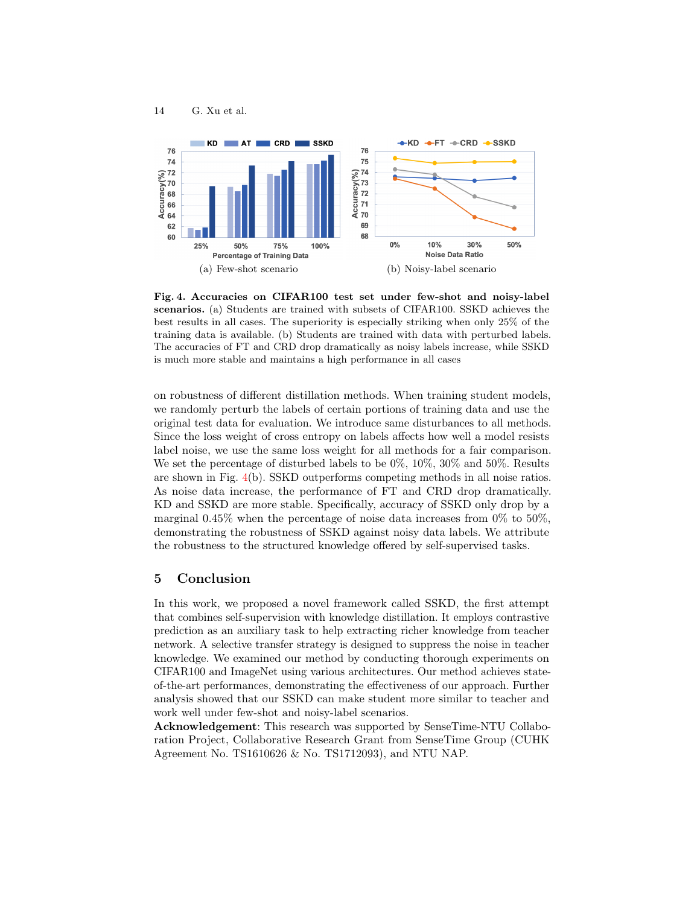

<span id="page-13-0"></span>Fig. 4. Accuracies on CIFAR100 test set under few-shot and noisy-label scenarios. (a) Students are trained with subsets of CIFAR100. SSKD achieves the best results in all cases. The superiority is especially striking when only 25% of the training data is available. (b) Students are trained with data with perturbed labels. The accuracies of FT and CRD drop dramatically as noisy labels increase, while SSKD is much more stable and maintains a high performance in all cases

on robustness of different distillation methods. When training student models, we randomly perturb the labels of certain portions of training data and use the original test data for evaluation. We introduce same disturbances to all methods. Since the loss weight of cross entropy on labels affects how well a model resists label noise, we use the same loss weight for all methods for a fair comparison. We set the percentage of disturbed labels to be 0%, 10%, 30% and 50%. Results are shown in Fig. [4\(](#page-13-0)b). SSKD outperforms competing methods in all noise ratios. As noise data increase, the performance of FT and CRD drop dramatically. KD and SSKD are more stable. Specifically, accuracy of SSKD only drop by a marginal  $0.45\%$  when the percentage of noise data increases from 0% to 50%. demonstrating the robustness of SSKD against noisy data labels. We attribute the robustness to the structured knowledge offered by self-supervised tasks.

# 5 Conclusion

14 G. Xu et al.

In this work, we proposed a novel framework called SSKD, the first attempt that combines self-supervision with knowledge distillation. It employs contrastive prediction as an auxiliary task to help extracting richer knowledge from teacher network. A selective transfer strategy is designed to suppress the noise in teacher knowledge. We examined our method by conducting thorough experiments on CIFAR100 and ImageNet using various architectures. Our method achieves stateof-the-art performances, demonstrating the effectiveness of our approach. Further analysis showed that our SSKD can make student more similar to teacher and work well under few-shot and noisy-label scenarios.

Acknowledgement: This research was supported by SenseTime-NTU Collaboration Project, Collaborative Research Grant from SenseTime Group (CUHK Agreement No. TS1610626 & No. TS1712093), and NTU NAP.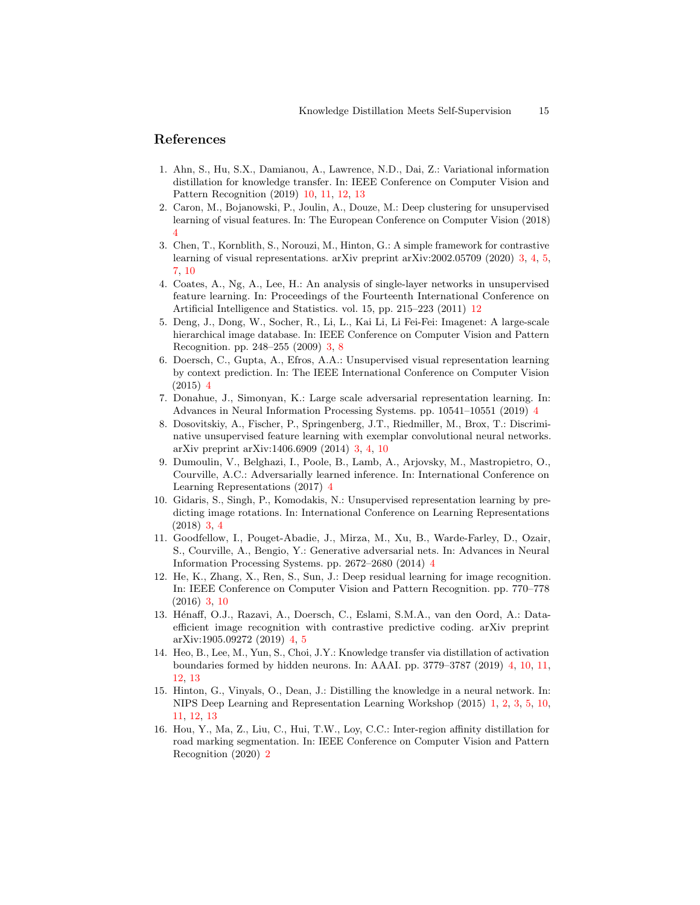# References

- <span id="page-14-14"></span>1. Ahn, S., Hu, S.X., Damianou, A., Lawrence, N.D., Dai, Z.: Variational information distillation for knowledge transfer. In: IEEE Conference on Computer Vision and Pattern Recognition (2019) [10,](#page-9-3) [11,](#page-10-2) [12,](#page-11-2) [13](#page-12-2)
- <span id="page-14-9"></span>2. Caron, M., Bojanowski, P., Joulin, A., Douze, M.: Deep clustering for unsupervised learning of visual features. In: The European Conference on Computer Vision (2018) [4](#page-3-0)
- <span id="page-14-4"></span>3. Chen, T., Kornblith, S., Norouzi, M., Hinton, G.: A simple framework for contrastive learning of visual representations. arXiv preprint arXiv:2002.05709 (2020) [3,](#page-2-0) [4,](#page-3-0) [5,](#page-4-4) [7,](#page-6-4) [10](#page-9-3)
- <span id="page-14-15"></span>4. Coates, A., Ng, A., Lee, H.: An analysis of single-layer networks in unsupervised feature learning. In: Proceedings of the Fourteenth International Conference on Artificial Intelligence and Statistics. vol. 15, pp. 215–223 (2011) [12](#page-11-2)
- <span id="page-14-6"></span>5. Deng, J., Dong, W., Socher, R., Li, L., Kai Li, Li Fei-Fei: Imagenet: A large-scale hierarchical image database. In: IEEE Conference on Computer Vision and Pattern Recognition. pp. 248–255 (2009) [3,](#page-2-0) [8](#page-7-1)
- <span id="page-14-8"></span>6. Doersch, C., Gupta, A., Efros, A.A.: Unsupervised visual representation learning by context prediction. In: The IEEE International Conference on Computer Vision (2015) [4](#page-3-0)
- <span id="page-14-10"></span>7. Donahue, J., Simonyan, K.: Large scale adversarial representation learning. In: Advances in Neural Information Processing Systems. pp. 10541–10551 (2019) [4](#page-3-0)
- <span id="page-14-2"></span>8. Dosovitskiy, A., Fischer, P., Springenberg, J.T., Riedmiller, M., Brox, T.: Discriminative unsupervised feature learning with exemplar convolutional neural networks. arXiv preprint arXiv:1406.6909 (2014) [3,](#page-2-0) [4,](#page-3-0) [10](#page-9-3)
- <span id="page-14-11"></span>9. Dumoulin, V., Belghazi, I., Poole, B., Lamb, A., Arjovsky, M., Mastropietro, O., Courville, A.C.: Adversarially learned inference. In: International Conference on Learning Representations (2017) [4](#page-3-0)
- <span id="page-14-3"></span>10. Gidaris, S., Singh, P., Komodakis, N.: Unsupervised representation learning by predicting image rotations. In: International Conference on Learning Representations (2018) [3,](#page-2-0) [4](#page-3-0)
- <span id="page-14-12"></span>11. Goodfellow, I., Pouget-Abadie, J., Mirza, M., Xu, B., Warde-Farley, D., Ozair, S., Courville, A., Bengio, Y.: Generative adversarial nets. In: Advances in Neural Information Processing Systems. pp. 2672–2680 (2014) [4](#page-3-0)
- <span id="page-14-5"></span>12. He, K., Zhang, X., Ren, S., Sun, J.: Deep residual learning for image recognition. In: IEEE Conference on Computer Vision and Pattern Recognition. pp. 770–778 (2016) [3,](#page-2-0) [10](#page-9-3)
- <span id="page-14-13"></span>13. Hénaff, O.J., Razavi, A., Doersch, C., Eslami, S.M.A., van den Oord, A.: Dataefficient image recognition with contrastive predictive coding. arXiv preprint arXiv:1905.09272 (2019) [4,](#page-3-0) [5](#page-4-4)
- <span id="page-14-7"></span>14. Heo, B., Lee, M., Yun, S., Choi, J.Y.: Knowledge transfer via distillation of activation boundaries formed by hidden neurons. In: AAAI. pp. 3779–3787 (2019) [4,](#page-3-0) [10,](#page-9-3) [11,](#page-10-2) [12,](#page-11-2) [13](#page-12-2)
- <span id="page-14-0"></span>15. Hinton, G., Vinyals, O., Dean, J.: Distilling the knowledge in a neural network. In: NIPS Deep Learning and Representation Learning Workshop (2015) [1,](#page-0-0) [2,](#page-1-1) [3,](#page-2-0) [5,](#page-4-4) [10,](#page-9-3) [11,](#page-10-2) [12,](#page-11-2) [13](#page-12-2)
- <span id="page-14-1"></span>16. Hou, Y., Ma, Z., Liu, C., Hui, T.W., Loy, C.C.: Inter-region affinity distillation for road marking segmentation. In: IEEE Conference on Computer Vision and Pattern Recognition (2020) [2](#page-1-1)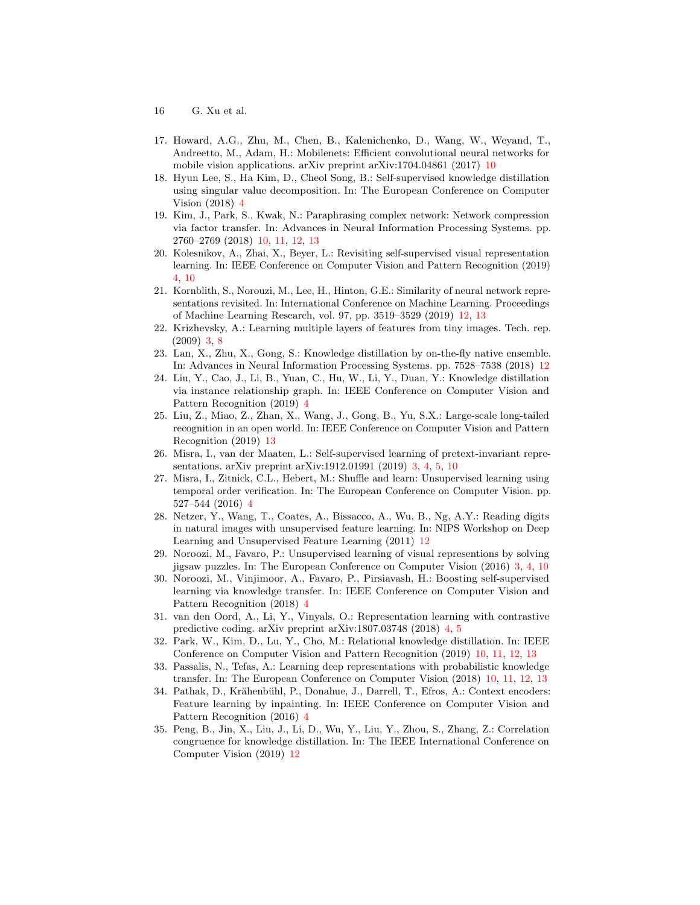- 16 G. Xu et al.
- <span id="page-15-13"></span>17. Howard, A.G., Zhu, M., Chen, B., Kalenichenko, D., Wang, W., Weyand, T., Andreetto, M., Adam, H.: Mobilenets: Efficient convolutional neural networks for mobile vision applications. arXiv preprint arXiv:1704.04861 (2017) [10](#page-9-3)
- <span id="page-15-4"></span>18. Hyun Lee, S., Ha Kim, D., Cheol Song, B.: Self-supervised knowledge distillation using singular value decomposition. In: The European Conference on Computer Vision (2018) [4](#page-3-0)
- <span id="page-15-12"></span>19. Kim, J., Park, S., Kwak, N.: Paraphrasing complex network: Network compression via factor transfer. In: Advances in Neural Information Processing Systems. pp. 2760–2769 (2018) [10,](#page-9-3) [11,](#page-10-2) [12,](#page-11-2) [13](#page-12-2)
- <span id="page-15-6"></span>20. Kolesnikov, A., Zhai, X., Beyer, L.: Revisiting self-supervised visual representation learning. In: IEEE Conference on Computer Vision and Pattern Recognition (2019) [4,](#page-3-0) [10](#page-9-3)
- <span id="page-15-16"></span>21. Kornblith, S., Norouzi, M., Lee, H., Hinton, G.E.: Similarity of neural network representations revisited. In: International Conference on Machine Learning. Proceedings of Machine Learning Research, vol. 97, pp. 3519–3529 (2019) [12,](#page-11-2) [13](#page-12-2)
- <span id="page-15-2"></span>22. Krizhevsky, A.: Learning multiple layers of features from tiny images. Tech. rep. (2009) [3,](#page-2-0) [8](#page-7-1)
- <span id="page-15-15"></span>23. Lan, X., Zhu, X., Gong, S.: Knowledge distillation by on-the-fly native ensemble. In: Advances in Neural Information Processing Systems. pp. 7528–7538 (2018) [12](#page-11-2)
- <span id="page-15-3"></span>24. Liu, Y., Cao, J., Li, B., Yuan, C., Hu, W., Li, Y., Duan, Y.: Knowledge distillation via instance relationship graph. In: IEEE Conference on Computer Vision and Pattern Recognition (2019) [4](#page-3-0)
- <span id="page-15-18"></span>25. Liu, Z., Miao, Z., Zhan, X., Wang, J., Gong, B., Yu, S.X.: Large-scale long-tailed recognition in an open world. In: IEEE Conference on Computer Vision and Pattern Recognition (2019) [13](#page-12-2)
- <span id="page-15-1"></span>26. Misra, I., van der Maaten, L.: Self-supervised learning of pretext-invariant representations. arXiv preprint arXiv:1912.01991 (2019) [3,](#page-2-0) [4,](#page-3-0) [5,](#page-4-4) [10](#page-9-3)
- <span id="page-15-7"></span>27. Misra, I., Zitnick, C.L., Hebert, M.: Shuffle and learn: Unsupervised learning using temporal order verification. In: The European Conference on Computer Vision. pp. 527–544 (2016) [4](#page-3-0)
- <span id="page-15-17"></span>28. Netzer, Y., Wang, T., Coates, A., Bissacco, A., Wu, B., Ng, A.Y.: Reading digits in natural images with unsupervised feature learning. In: NIPS Workshop on Deep Learning and Unsupervised Feature Learning (2011) [12](#page-11-2)
- <span id="page-15-0"></span>29. Noroozi, M., Favaro, P.: Unsupervised learning of visual representions by solving jigsaw puzzles. In: The European Conference on Computer Vision (2016) [3,](#page-2-0) [4,](#page-3-0) [10](#page-9-3)
- <span id="page-15-8"></span>30. Noroozi, M., Vinjimoor, A., Favaro, P., Pirsiavash, H.: Boosting self-supervised learning via knowledge transfer. In: IEEE Conference on Computer Vision and Pattern Recognition (2018) [4](#page-3-0)
- <span id="page-15-9"></span>31. van den Oord, A., Li, Y., Vinyals, O.: Representation learning with contrastive predictive coding. arXiv preprint arXiv:1807.03748 (2018) [4,](#page-3-0) [5](#page-4-4)
- <span id="page-15-10"></span>32. Park, W., Kim, D., Lu, Y., Cho, M.: Relational knowledge distillation. In: IEEE Conference on Computer Vision and Pattern Recognition (2019) [10,](#page-9-3) [11,](#page-10-2) [12,](#page-11-2) [13](#page-12-2)
- <span id="page-15-11"></span>33. Passalis, N., Tefas, A.: Learning deep representations with probabilistic knowledge transfer. In: The European Conference on Computer Vision (2018) [10,](#page-9-3) [11,](#page-10-2) [12,](#page-11-2) [13](#page-12-2)
- <span id="page-15-5"></span>34. Pathak, D., Krähenbühl, P., Donahue, J., Darrell, T., Efros, A.: Context encoders: Feature learning by inpainting. In: IEEE Conference on Computer Vision and Pattern Recognition (2016) [4](#page-3-0)
- <span id="page-15-14"></span>35. Peng, B., Jin, X., Liu, J., Li, D., Wu, Y., Liu, Y., Zhou, S., Zhang, Z.: Correlation congruence for knowledge distillation. In: The IEEE International Conference on Computer Vision (2019) [12](#page-11-2)